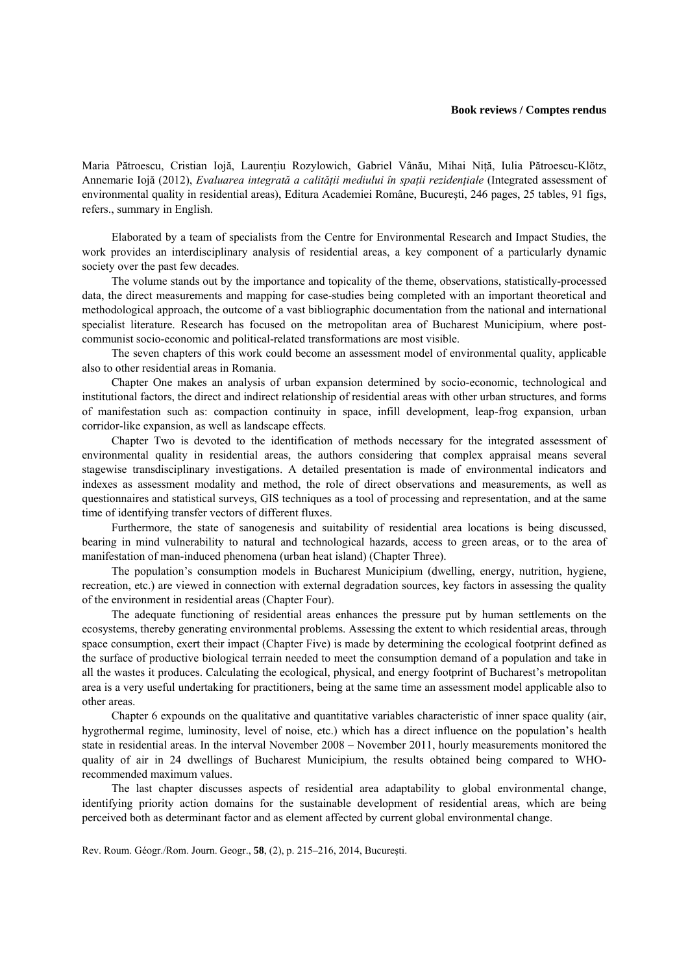## **Book reviews / Comptes rendus**

Maria Pătroescu, Cristian Iojă, Laurențiu Rozylowich, Gabriel Vânău, Mihai Niță, Iulia Pătroescu-Klötz, Annemarie Iojă (2012), *Evaluarea integrată a calităţii mediului în spaţii rezidenţiale* (Integrated assessment of environmental quality in residential areas), Editura Academiei Române, Bucureşti, 246 pages, 25 tables, 91 figs, refers., summary in English.

Elaborated by a team of specialists from the Centre for Environmental Research and Impact Studies, the work provides an interdisciplinary analysis of residential areas, a key component of a particularly dynamic society over the past few decades.

The volume stands out by the importance and topicality of the theme, observations, statistically-processed data, the direct measurements and mapping for case-studies being completed with an important theoretical and methodological approach, the outcome of a vast bibliographic documentation from the national and international specialist literature. Research has focused on the metropolitan area of Bucharest Municipium, where postcommunist socio-economic and political-related transformations are most visible.

The seven chapters of this work could become an assessment model of environmental quality, applicable also to other residential areas in Romania.

Chapter One makes an analysis of urban expansion determined by socio-economic, technological and institutional factors, the direct and indirect relationship of residential areas with other urban structures, and forms of manifestation such as: compaction continuity in space, infill development, leap-frog expansion, urban corridor-like expansion, as well as landscape effects.

Chapter Two is devoted to the identification of methods necessary for the integrated assessment of environmental quality in residential areas, the authors considering that complex appraisal means several stagewise transdisciplinary investigations. A detailed presentation is made of environmental indicators and indexes as assessment modality and method, the role of direct observations and measurements, as well as questionnaires and statistical surveys, GIS techniques as a tool of processing and representation, and at the same time of identifying transfer vectors of different fluxes.

Furthermore, the state of sanogenesis and suitability of residential area locations is being discussed, bearing in mind vulnerability to natural and technological hazards, access to green areas, or to the area of manifestation of man-induced phenomena (urban heat island) (Chapter Three).

The population's consumption models in Bucharest Municipium (dwelling, energy, nutrition, hygiene, recreation, etc.) are viewed in connection with external degradation sources, key factors in assessing the quality of the environment in residential areas (Chapter Four).

The adequate functioning of residential areas enhances the pressure put by human settlements on the ecosystems, thereby generating environmental problems. Assessing the extent to which residential areas, through space consumption, exert their impact (Chapter Five) is made by determining the ecological footprint defined as the surface of productive biological terrain needed to meet the consumption demand of a population and take in all the wastes it produces. Calculating the ecological, physical, and energy footprint of Bucharest's metropolitan area is a very useful undertaking for practitioners, being at the same time an assessment model applicable also to other areas.

Chapter 6 expounds on the qualitative and quantitative variables characteristic of inner space quality (air, hygrothermal regime, luminosity, level of noise, etc.) which has a direct influence on the population's health state in residential areas. In the interval November 2008 – November 2011, hourly measurements monitored the quality of air in 24 dwellings of Bucharest Municipium, the results obtained being compared to WHOrecommended maximum values.

The last chapter discusses aspects of residential area adaptability to global environmental change, identifying priority action domains for the sustainable development of residential areas, which are being perceived both as determinant factor and as element affected by current global environmental change.

Rev. Roum. Géogr./Rom. Journ. Geogr., **58**, (2), p. 215–216, 2014, Bucureşti.